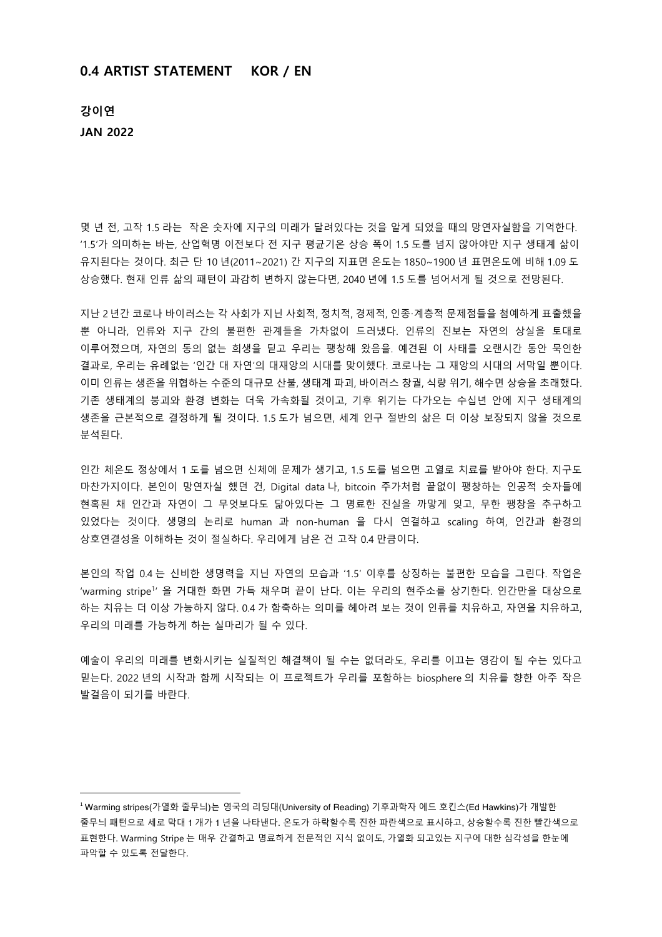## **0.4 ARTIST STATEMENT KOR / EN**

**강이연 JAN 2022**

몇 년 전, 고작 1.5 라는 작은 숫자에 지구의 미래가 달려있다는 것을 알게 되었을 때의 망연자실함을 기억한다. '1.5'가 의미하는 바는, 산업혁명 이전보다 전 지구 평균기온 상승 폭이 1.5 도를 넘지 않아야만 지구 생태계 삶이 유지된다는 것이다. 최근 단 10 년(2011~2021) 간 지구의 지표면 온도는 1850~1900 년 표면온도에 비해 1.09 도 상승했다. 현재 인류 삶의 패턴이 과감히 변하지 않는다면, 2040 년에 1.5 도를 넘어서게 될 것으로 전망된다.

지난 2년간 코로나 바이러스는 각 사회가 지닌 사회적, 정치적, 경제적, 인종·계층적 문제점들을 첨예하게 표출했을 뿐 아니라, 인류와 지구 간의 불편한 관계들을 가차없이 드러냈다. 인류의 진보는 자연의 상실을 토대로 이루어졌으며, 자연의 동의 없는 희생을 딛고 우리는 팽창해 왔음을. 예견된 이 사태를 오랜시간 동안 묵인한 결과로, 우리는 유례없는 '인간 대 자연'의 대재앙의 시대를 맞이했다. 코로나는 그 재앙의 시대의 서막일 뿐이다. 이미 인류는 생존을 위협하는 수준의 대규모 산불, 생태계 파괴, 바이러스 창궐, 식량 위기, 해수면 상승을 초래했다. 기존 생태계의 붕괴와 환경 변화는 더욱 가속화될 것이고, 기후 위기는 다가오는 수십년 안에 지구 생태계의 생존을 근본적으로 결정하게 될 것이다. 1.5 도가 넘으면, 세계 인구 절반의 삶은 더 이상 보장되지 않을 것으로 분석된다.

인간 체온도 정상에서 1 도를 넘으면 신체에 문제가 생기고, 1.5 도를 넘으면 고열로 치료를 받아야 한다. 지구도 마찬가지이다. 본인이 망연자실 했던 건, Digital data 나, bitcoin 주가처럼 끝없이 팽창하는 인공적 숫자들에 현혹된 채 인간과 자연이 그 무엇보다도 닮아있다는 그 명료한 진실을 까맣게 잊고, 무한 팽창을 추구하고 있었다는 것이다. 생명의 논리로 human 과 non-human 을 다시 연결하고 scaling 하여, 인간과 환경의 상호연결성을 이해하는 것이 절실하다. 우리에게 남은 건 고작 0.4 만큼이다.

본인의 작업 0.4 는 신비한 생명력을 지닌 자연의 모습과 '1.5' 이후를 상징하는 불편한 모습을 그린다. 작업은 'warming stripe<sup>1</sup>' 을 거대한 화면 가득 채우며 끝이 난다. 이는 우리의 현주소를 상기한다. 인간만을 대상으로 하는 치유는 더 이상 가능하지 않다. 0.4 가 함축하는 의미를 헤아려 보는 것이 인류를 치유하고, 자연을 치유하고, 우리의 미래를 가능하게 하는 실마리가 될 수 있다.

예술이 우리의 미래를 변화시키는 실질적인 해결책이 될 수는 없더라도, 우리를 이끄는 영감이 될 수는 있다고 믿는다. 2022 년의 시작과 함께 시작되는 이 프로젝트가 우리를 포함하는 biosphere 의 치유를 향한 아주 작은 발걸음이 되기를 바란다.

 

<sup>1</sup> Warming stripes(가열화 줄무늬)는 영국의 리딩대(University of Reading) 기후과학자 에드 호킨스(Ed Hawkins)가 개발한 줄무늬 패턴으로 세로 막대 1 개가 1 년을 나타낸다. 온도가 하락할수록 진한 파란색으로 표시하고, 상승할수록 진한 빨간색으로 표현한다. Warming Stripe 는 매우 간결하고 명료하게 전문적인 지식 없이도, 가열화 되고있는 지구에 대한 심각성을 한눈에 파악할 수 있도록 전달한다.